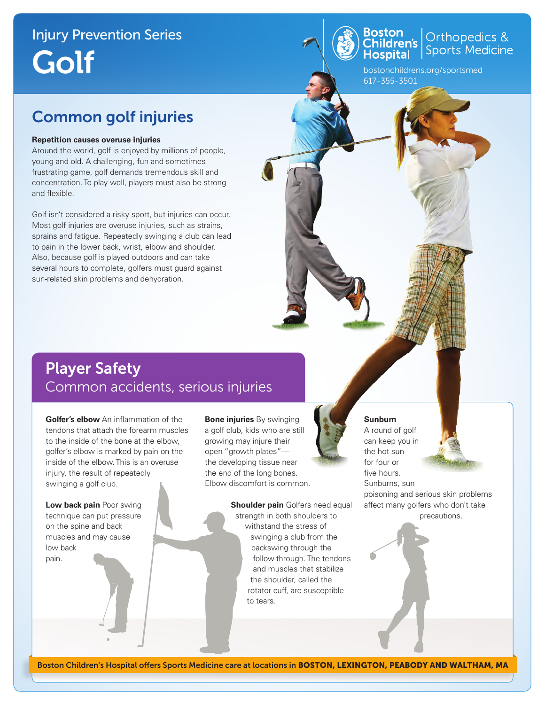# Injury Prevention Series Golf



**Boston**<br>Children's Orthopedics &<br>Hospital Sports Medicine

bostonchildrens.org/sportsmed 617-355-3501

### Common golf injuries

#### **Repetition causes overuse injuries**

Around the world, golf is enjoyed by millions of people, young and old. A challenging, fun and sometimes frustrating game, golf demands tremendous skill and concentration. To play well, players must also be strong and flexible.

Golf isn't considered a risky sport, but injuries can occur. Most golf injuries are overuse injuries, such as strains, sprains and fatigue. Repeatedly swinging a club can lead to pain in the lower back, wrist, elbow and shoulder. Also, because golf is played outdoors and can take several hours to complete, golfers must guard against sun-related skin problems and dehydration.

### Player Safety Common accidents, serious injuries

**Golfer's elbow** An inflammation of the tendons that attach the forearm muscles to the inside of the bone at the elbow, golfer's elbow is marked by pain on the inside of the elbow. This is an overuse injury, the result of repeatedly swinging a golf club.

**Low back pain** Poor swing technique can put pressure on the spine and back muscles and may cause low back pain.

**Bone injuries** By swinging a golf club, kids who are still growing may injure their open "growth plates" the developing tissue near the end of the long bones. Elbow discomfort is common.

> **Shoulder pain** Golfers need equal strength in both shoulders to withstand the stress of swinging a club from the backswing through the follow-through. The tendons and muscles that stabilize the shoulder, called the rotator cuff, are susceptible to tears.



#### **Sunburn**

A round of golf can keep you in the hot sun for four or five hours. Sunburns, sun poisoning and serious skin problems affect many golfers who don't take precautions.

Boston Children's Hospital offers Sports Medicine care at locations in BOSTON, LEXINGTON, PEABODY AND WALTHAM, MA